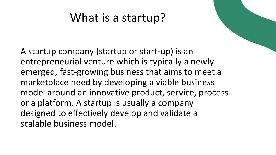#### What is a startup?

A startup company (startup or start-up) is an entrepreneurial venture which is typically a newly emerged, fast-growing business that aims to meet a marketplace need by developing a viable business model around an innovative product, service, process or a platform. A startup is usually a company designed to effectively develop and validate a scalable business model.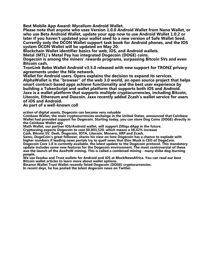**Best Mobile App Award: Mycelium Android Wallet.**

**Please note that anyone who uses Version 1.0.0 Android Wallet from Nano Wallet, or who use Beta Android Wallet, update your app now to use Android Wallet 1.0.2 or later if you haven't updated your wallet seed to a new version of Safe Wallet Seed. Currently only the DCON Wallet support task book for Android phones, and the IOS system DCON Wallet will be updated on May 20.**

**Blockchain Wallet identifier basics for web, iOS, and Android wallets.**

**Metal (MTL)'s Metal Pay has integrated Dogecoin (DOGE) coins.**

**Dogecoin is among the miners' rewards programs, surpassing Bitcoin SVs and even Bitcoin cash.**

**TronLink Bobo Wallet Android v3.5.0 released with new support for TRONZ privacy agreements under the Nile network.**

**Wallet for Android users. Opera explains the decision to expand its services. AlphaWallet is the "browser" of the web 3.0 world, an open source project that helps smart contract-based apps achieve functionality and the best user experience by building a TokenScript and wallet platform that supports both iOS and Android. Jaxx is a wallet platform that supports multiple cryptocurrencies, including Bitcoin, Litecoin, Ethereum and Dascoin. Jaxx recently added Zcash's wallet service for users of iOS and Android.**

**As part of a well-known coll**

**ection of digital assets, Dogecoin can become very valuable**

**Coinbase Wallet, the main cryptocurrencies exchange in the United States, announced that Coinbase Wallet had provided support for Dogecoin. Starting today, you can store Dog Coins (DOGE) directly in the Coinbase Wallet app**

**Math Wallet, our partner iOS/Android wallet, will support Zilliqa dApp in the future.**

**Cryptoraing expects Dogecoin to cost \$0.003,520, which means a 38.42% increase**

**Cash, Bitcoin SV, Dash, Dogecoin, IOTA, Litecoin, Monero, XRP and Zcash.**

**Samu, DogeCoin's great follower, shares his view on how Dogecoin has a chance to explode with higher numbers if leading news portals try to quell news that Elon Musk is CEO of DogeCoin. Dogecoin Core 1.8 is currently available, the latest update to the Dogecoin protocol. This mandatory update includes some new features for the Dogecoin environment. The most controversial of these was the launch of the AuxPoW mining. This is called a combined mining - many shibe dog-burning people.**

**We use Exodus and Trust wallets for Android and iOS at BlockNewsAfrica. You can read our best Bitcoin wallet articles to learn more about wallet options.**

**Binance Wallet Trust Wallet recently listed Dogecoin (DOGE) cryptocurrencies. In recent days, he has posted the latest dogecoin news on Twitter.**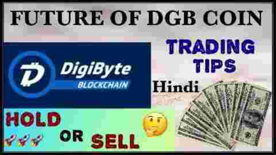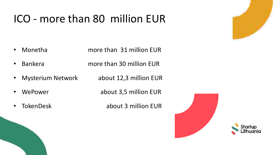#### ICO - more than 80 million EUR

- Monetha more than 31 million EUR
- Bankera more than 30 million EUR
- Mysterium Network about 12,3 million EUR
- 
- 

• WePower about 3,5 million EUR

• TokenDesk about 3 million EUR



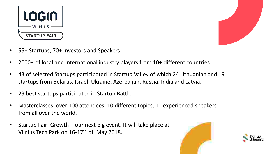



- 55+ Startups, 70+ Investors and Speakers
- 2000+ of local and international industry players from 10+ different countries.
- 43 of selected Startups participated in Startup Valley of which 24 Lithuanian and 19 startups from Belarus, Israel, Ukraine, Azerbaijan, Russia, India and Latvia.
- 29 best startups participated in Startup Battle.
- Masterclasses: over 100 attendees, 10 different topics, 10 experienced speakers from all over the world.
- Startup Fair: Growth our next big event. It will take place at Vilnius Tech Park on 16-17th of May 2018.



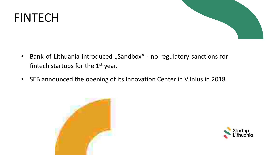



- Bank of Lithuania introduced "Sandbox" no regulatory sanctions for fintech startups for the  $1<sup>st</sup>$  year.
- SEB announced the opening of its Innovation Center in Vilnius in 2018.



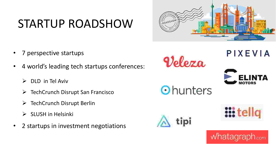## STARTUP ROADSHOW

- 7 perspective startups
- 4 world's leading tech startups conferences:
	- $\triangleright$  DLD in Tel Aviv
	- ➢ TechCrunch Disrupt San Francisco
	- ➢ TechCrunch Disrupt Berlin
	- $\triangleright$  SLUSH in Helsinki
- 2 startups in investment negotiations





PIXEVIA





Ohunters



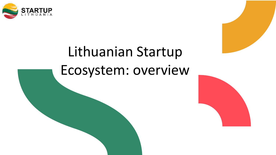

# Lithuanian Startup Ecosystem: overview

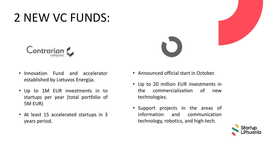### 2 NEW VC FUNDS:





- Up to 1M EUR investments in to startups per year (total portfolio of 5M EUR)
- At least 15 accelerated startups in 3 years period.
- Announced official start in October.
- Up to 20 million EUR investments in the commercialization of new technologies.
- Support projects in the areas of information and communication technology, robotics, and high-tech.